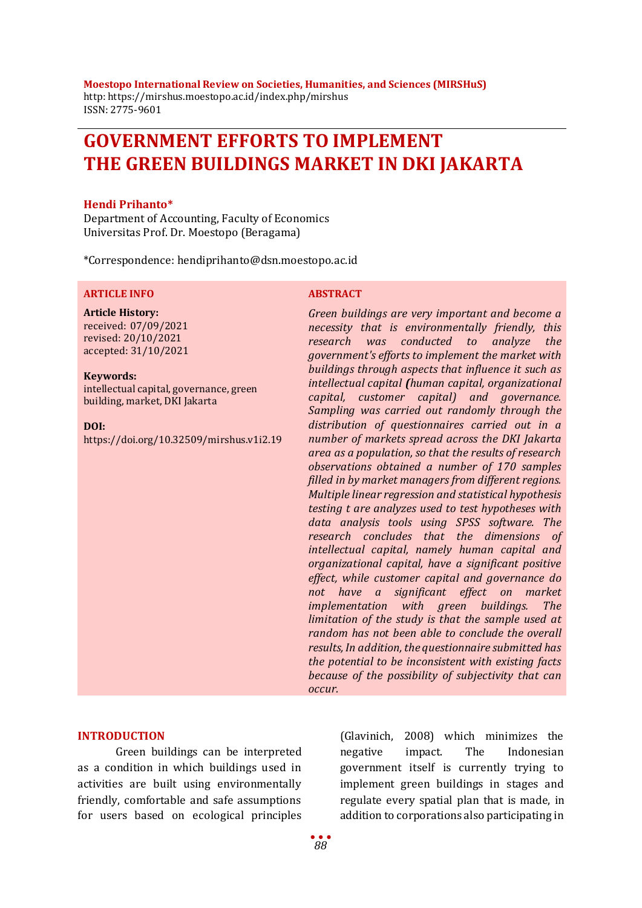**Moestopo International Review on Societies, Humanities, and Sciences (MIRSHuS)** http: https://mirshus.moestopo.ac.id/index.php/mirshus ISSN: 2775-9601

# **GOVERNMENT EFFORTS TO IMPLEMENT THE GREEN BUILDINGS MARKET IN DKI JAKARTA**

#### **Hendi Prihanto\***

Department of Accounting, Faculty of Economics Universitas Prof. Dr. Moestopo (Beragama)

\*Correspondence: hendiprihanto@dsn.moestopo.ac.id

#### **ARTICLE INFO ABSTRACT**

### **Article History:** received: 07/09/2021 revised: 20/10/2021

accepted: 31/10/2021

#### **Keywords:**

intellectual capital, governance, green building, market, DKI Jakarta

#### **DOI:**

https://doi.org/10.32509/mirshus.v1i2.19

*Green buildings are very important and become a necessity that is environmentally friendly, this research was conducted to analyze the government's efforts to implement the market with buildings through aspects that influence it such as intellectual capital (human capital, organizational capital, customer capital) and governance. Sampling was carried out randomly through the distribution of questionnaires carried out in a number of markets spread across the DKI Jakarta area as a population, so that the results of research observations obtained a number of 170 samples filled in by market managers from different regions. Multiple linear regression and statistical hypothesis testing t are analyzes used to test hypotheses with data analysis tools using SPSS software. The research concludes that the dimensions of intellectual capital, namely human capital and organizational capital, have a significant positive effect, while customer capital and governance do not have a significant effect on market implementation with green buildings. The limitation of the study is that the sample used at random has not been able to conclude the overall results, In addition, the questionnaire submitted has the potential to be inconsistent with existing facts because of the possibility of subjectivity that can occur.*

#### **INTRODUCTION**

Green buildings can be interpreted as a condition in which buildings used in activities are built using environmentally friendly, comfortable and safe assumptions for users based on ecological principles

(Glavinich, 2008) which minimizes the negative impact. The Indonesian government itself is currently trying to implement green buildings in stages and regulate every spatial plan that is made, in addition to corporations also participating in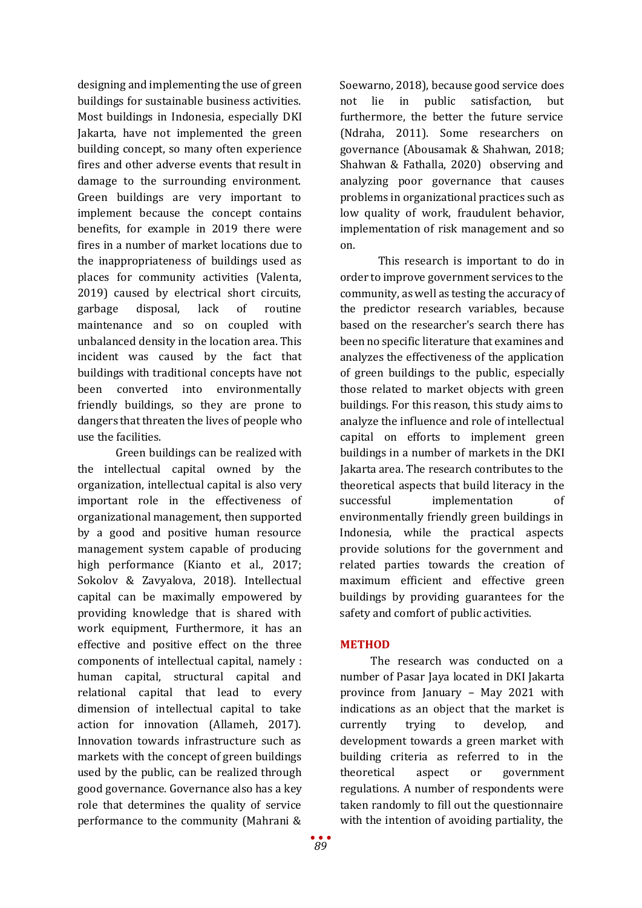designing and implementing the use of green buildings for sustainable business activities. Most buildings in Indonesia, especially DKI Jakarta, have not implemented the green building concept, so many often experience fires and other adverse events that result in damage to the surrounding environment. Green buildings are very important to implement because the concept contains benefits, for example in 2019 there were fires in a number of market locations due to the inappropriateness of buildings used as places for community activities (Valenta, 2019) caused by electrical short circuits, garbage disposal, lack of routine maintenance and so on coupled with unbalanced density in the location area. This incident was caused by the fact that buildings with traditional concepts have not been converted into environmentally friendly buildings, so they are prone to dangers that threaten the lives of people who use the facilities.

Green buildings can be realized with the intellectual capital owned by the organization, intellectual capital is also very important role in the effectiveness of organizational management, then supported by a good and positive human resource management system capable of producing high performance (Kianto et al., 2017; Sokolov & Zavyalova, 2018). Intellectual capital can be maximally empowered by providing knowledge that is shared with work equipment, Furthermore, it has an effective and positive effect on the three components of intellectual capital, namely : human capital, structural capital and relational capital that lead to every dimension of intellectual capital to take action for innovation (Allameh, 2017). Innovation towards infrastructure such as markets with the concept of green buildings used by the public, can be realized through good governance. Governance also has a key role that determines the quality of service performance to the community (Mahrani &

Soewarno, 2018), because good service does not lie in public satisfaction, but furthermore, the better the future service (Ndraha, 2011). Some researchers on governance (Abousamak & Shahwan, 2018; Shahwan & Fathalla, 2020) observing and analyzing poor governance that causes problems in organizational practices such as low quality of work, fraudulent behavior, implementation of risk management and so on.

This research is important to do in order to improve government services to the community, as well as testing the accuracy of the predictor research variables, because based on the researcher's search there has been no specific literature that examines and analyzes the effectiveness of the application of green buildings to the public, especially those related to market objects with green buildings. For this reason, this study aims to analyze the influence and role of intellectual capital on efforts to implement green buildings in a number of markets in the DKI Jakarta area. The research contributes to the theoretical aspects that build literacy in the successful implementation of environmentally friendly green buildings in Indonesia, while the practical aspects provide solutions for the government and related parties towards the creation of maximum efficient and effective green buildings by providing guarantees for the safety and comfort of public activities.

# **METHOD**

The research was conducted on a number of Pasar Jaya located in DKI Jakarta province from January – May 2021 with indications as an object that the market is currently trying to develop, and development towards a green market with building criteria as referred to in the theoretical aspect or government regulations. A number of respondents were taken randomly to fill out the questionnaire with the intention of avoiding partiality, the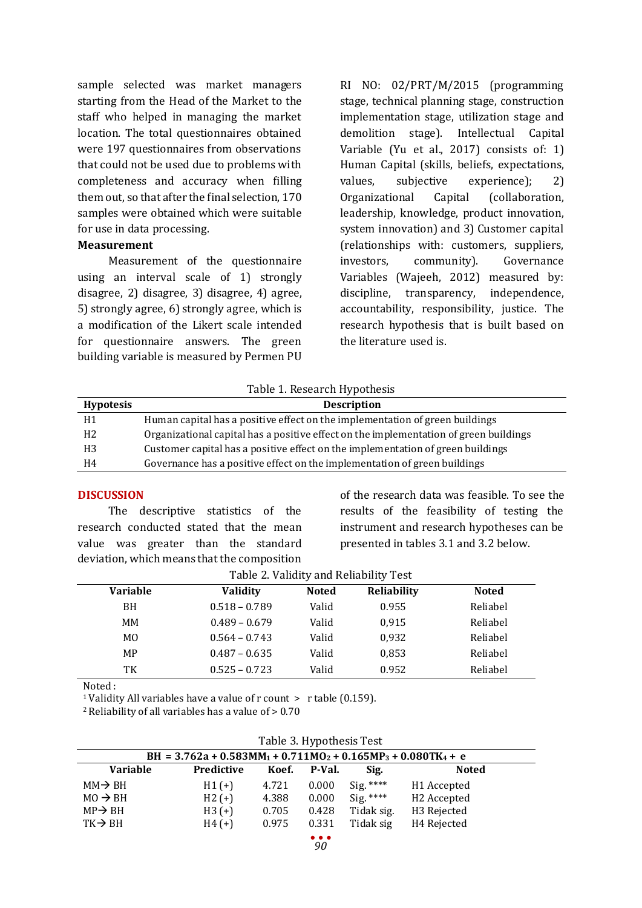sample selected was market managers starting from the Head of the Market to the staff who helped in managing the market location. The total questionnaires obtained were 197 questionnaires from observations that could not be used due to problems with completeness and accuracy when filling them out, so that after the final selection, 170 samples were obtained which were suitable for use in data processing.

#### **Measurement**

Measurement of the questionnaire using an interval scale of 1) strongly disagree, 2) disagree, 3) disagree, 4) agree, 5) strongly agree, 6) strongly agree, which is a modification of the Likert scale intended for questionnaire answers. The green building variable is measured by Permen PU RI NO: 02/PRT/M/2015 (programming stage, technical planning stage, construction implementation stage, utilization stage and demolition stage). Intellectual Capital Variable (Yu et al., 2017) consists of: 1) Human Capital (skills, beliefs, expectations, values, subjective experience); 2)<br>Organizational Capital (collaboration. Organizational Capital (collaboration, leadership, knowledge, product innovation, system innovation) and 3) Customer capital (relationships with: customers, suppliers, investors, community). Governance Variables (Wajeeh, 2012) measured by: discipline, transparency, independence, accountability, responsibility, justice. The research hypothesis that is built based on the literature used is.

Table 1. Research Hypothesis

| <b>Hypotesis</b> | <b>Description</b>                                                                    |
|------------------|---------------------------------------------------------------------------------------|
| Η1               | Human capital has a positive effect on the implementation of green buildings          |
| H2               | Organizational capital has a positive effect on the implementation of green buildings |
| H3               | Customer capital has a positive effect on the implementation of green buildings       |
| Η4               | Governance has a positive effect on the implementation of green buildings             |

#### **DISCUSSION**

The descriptive statistics of the research conducted stated that the mean value was greater than the standard deviation, which means that the composition

of the research data was feasible. To see the results of the feasibility of testing the instrument and research hypotheses can be presented in tables 3.1 and 3.2 below.

|  |  | Table 2. Validity and Reliability Test |  |
|--|--|----------------------------------------|--|
|--|--|----------------------------------------|--|

| Variable       | <b>Validity</b> | <b>Noted</b> | <b>Reliability</b> | <b>Noted</b> |  |
|----------------|-----------------|--------------|--------------------|--------------|--|
| BH             | $0.518 - 0.789$ | Valid        | 0.955              | Reliabel     |  |
| MМ             | $0.489 - 0.679$ | Valid        | 0.915              | Reliabel     |  |
| M <sub>0</sub> | $0.564 - 0.743$ | Valid        | 0,932              | Reliabel     |  |
| MP             | $0.487 - 0.635$ | Valid        | 0,853              | Reliabel     |  |
| TК             | $0.525 - 0.723$ | Valid        | 0.952              | Reliabel     |  |
|                |                 |              |                    |              |  |

Noted :

<sup>1</sup> Validity All variables have a value of r count > r table (0.159).<br><sup>2</sup> Reliability of all variables has a value of > 0.70

| Table 3. Hypothesis Test |  |
|--------------------------|--|
|--------------------------|--|

| ----------------------                                           |            |       |        |            |                         |
|------------------------------------------------------------------|------------|-------|--------|------------|-------------------------|
| BH = $3.762a + 0.583MM_1 + 0.711M_2 + 0.165MP_3 + 0.080TK_4 + e$ |            |       |        |            |                         |
| <b>Variable</b>                                                  | Predictive | Koef. | P-Val. | Sig.       | <b>Noted</b>            |
| $MM \rightarrow BH$                                              | $H1(+)$    | 4.721 | 0.000  | $Sig.***$  | H1 Accepted             |
| $MO \rightarrow BH$                                              | $H2 (+)$   | 4.388 | 0.000  | $Sig.***$  | H <sub>2</sub> Accepted |
| $MP \rightarrow BH$                                              | $H3 (+)$   | 0.705 | 0.428  | Tidak sig. | H <sub>3</sub> Rejected |
| $TK \rightarrow BH$                                              | $H4 (+)$   | 0.975 | 0.331  | Tidak sig  | H <sub>4</sub> Rejected |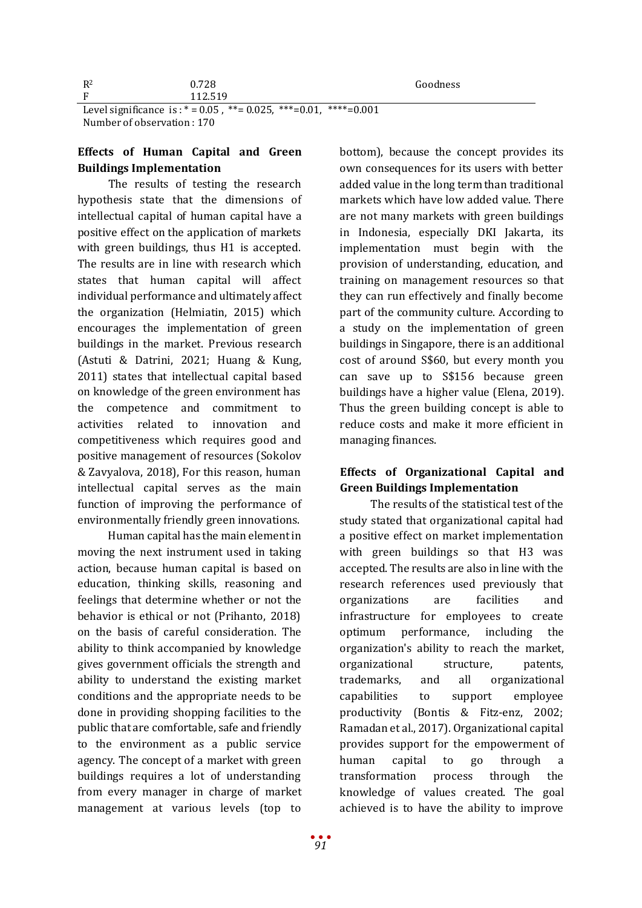| $R^2$ | 0.728  | Goodness |
|-------|--------|----------|
| Ð     | 12.519 |          |

Level significance is :  $* = 0.05$ ,  $** = 0.025$ ,  $** = 0.01$ ,  $** = 0.001$ Number of observation : 170

# **Effects of Human Capital and Green Buildings Implementation**

The results of testing the research hypothesis state that the dimensions of intellectual capital of human capital have a positive effect on the application of markets with green buildings, thus H1 is accepted. The results are in line with research which states that human capital will affect individual performance and ultimately affect the organization (Helmiatin, 2015) which encourages the implementation of green buildings in the market. Previous research (Astuti & Datrini, 2021; Huang & Kung, 2011) states that intellectual capital based on knowledge of the green environment has the competence and commitment to activities related to innovation and competitiveness which requires good and positive management of resources (Sokolov & Zavyalova, 2018), For this reason, human intellectual capital serves as the main function of improving the performance of environmentally friendly green innovations.

Human capital has the main element in moving the next instrument used in taking action, because human capital is based on education, thinking skills, reasoning and feelings that determine whether or not the behavior is ethical or not (Prihanto, 2018) on the basis of careful consideration. The ability to think accompanied by knowledge gives government officials the strength and ability to understand the existing market conditions and the appropriate needs to be done in providing shopping facilities to the public that are comfortable, safe and friendly to the environment as a public service agency. The concept of a market with green buildings requires a lot of understanding from every manager in charge of market management at various levels (top to

bottom), because the concept provides its own consequences for its users with better added value in the long term than traditional markets which have low added value. There are not many markets with green buildings in Indonesia, especially DKI Jakarta, its implementation must begin with the provision of understanding, education, and training on management resources so that they can run effectively and finally become part of the community culture. According to a study on the implementation of green buildings in Singapore, there is an additional cost of around S\$60, but every month you can save up to S\$156 because green buildings have a higher value (Elena, 2019). Thus the green building concept is able to reduce costs and make it more efficient in managing finances.

# **Effects of Organizational Capital and Green Buildings Implementation**

The results of the statistical test of the study stated that organizational capital had a positive effect on market implementation with green buildings so that H3 was accepted. The results are also in line with the research references used previously that organizations are facilities and infrastructure for employees to create optimum performance, including the organization's ability to reach the market, organizational structure, patents, trademarks, and all organizational capabilities to support employee productivity (Bontis & Fitz-enz, 2002; Ramadan et al., 2017). Organizational capital provides support for the empowerment of human capital to go through a transformation process through the knowledge of values created. The goal achieved is to have the ability to improve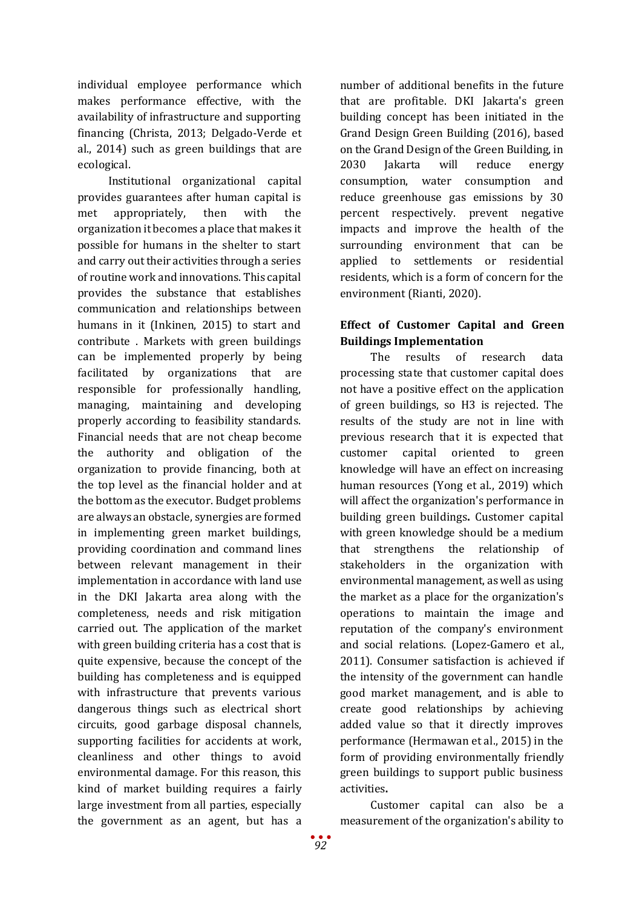individual employee performance which makes performance effective, with the availability of infrastructure and supporting financing (Christa, 2013; Delgado-Verde et al., 2014) such as green buildings that are ecological.

Institutional organizational capital provides guarantees after human capital is met appropriately, then with the organization it becomes a place that makes it possible for humans in the shelter to start and carry out their activities through a series of routine work and innovations. This capital provides the substance that establishes communication and relationships between humans in it (Inkinen, 2015) to start and contribute . Markets with green buildings can be implemented properly by being facilitated by organizations that are responsible for professionally handling, managing, maintaining and developing properly according to feasibility standards. Financial needs that are not cheap become the authority and obligation of the organization to provide financing, both at the top level as the financial holder and at the bottom as the executor. Budget problems are always an obstacle, synergies are formed in implementing green market buildings, providing coordination and command lines between relevant management in their implementation in accordance with land use in the DKI Jakarta area along with the completeness, needs and risk mitigation carried out. The application of the market with green building criteria has a cost that is quite expensive, because the concept of the building has completeness and is equipped with infrastructure that prevents various dangerous things such as electrical short circuits, good garbage disposal channels, supporting facilities for accidents at work, cleanliness and other things to avoid environmental damage. For this reason, this kind of market building requires a fairly large investment from all parties, especially the government as an agent, but has a

number of additional benefits in the future that are profitable. DKI Jakarta's green building concept has been initiated in the Grand Design Green Building (2016), based on the Grand Design of the Green Building, in 2030 Jakarta will reduce energy consumption, water consumption and reduce greenhouse gas emissions by 30 percent respectively. prevent negative impacts and improve the health of the surrounding environment that can be applied to settlements or residential residents, which is a form of concern for the environment (Rianti, 2020).

# **Effect of Customer Capital and Green Buildings Implementation**

The results of research data processing state that customer capital does not have a positive effect on the application of green buildings, so H3 is rejected. The results of the study are not in line with previous research that it is expected that customer capital oriented to green knowledge will have an effect on increasing human resources (Yong et al., 2019) which will affect the organization's performance in building green buildings**.** Customer capital with green knowledge should be a medium that strengthens the relationship of stakeholders in the organization with environmental management, as well as using the market as a place for the organization's operations to maintain the image and reputation of the company's environment and social relations. (Lopez-Gamero et al., 2011). Consumer satisfaction is achieved if the intensity of the government can handle good market management, and is able to create good relationships by achieving added value so that it directly improves performance (Hermawan et al., 2015) in the form of providing environmentally friendly green buildings to support public business activities**.**

Customer capital can also be a measurement of the organization's ability to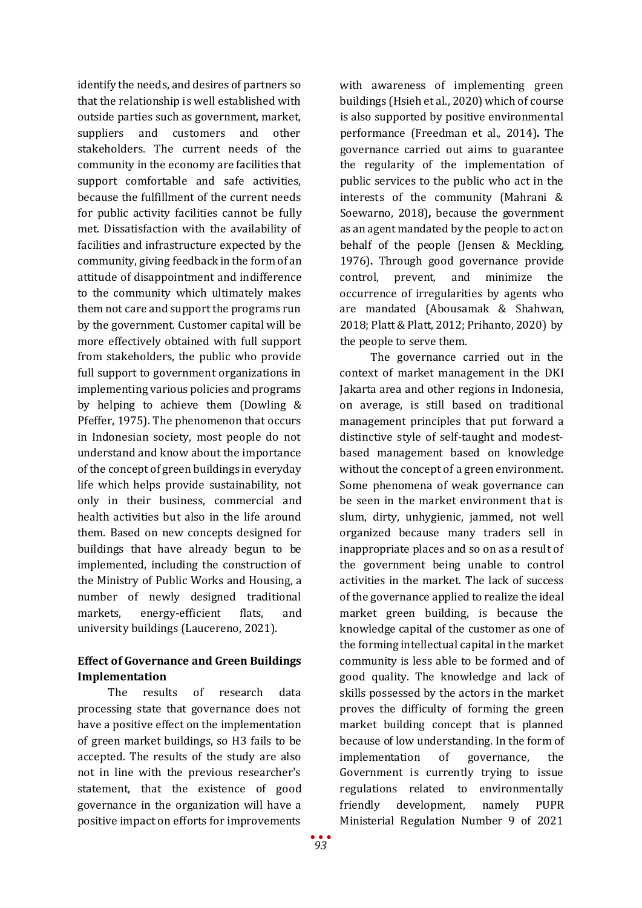identify the needs, and desires of partners so that the relationship is well established with outside parties such as government, market, suppliers and customers and other stakeholders. The current needs of the community in the economy are facilities that support comfortable and safe activities, because the fulfillment of the current needs for public activity facilities cannot be fully met. Dissatisfaction with the availability of facilities and infrastructure expected by the community, giving feedback in the form of an attitude of disappointment and indifference to the community which ultimately makes them not care and support the programs run by the government. Customer capital will be more effectively obtained with full support from stakeholders, the public who provide full support to government organizations in implementing various policies and programs by helping to achieve them (Dowling & Pfeffer, 1975). The phenomenon that occurs in Indonesian society, most people do not understand and know about the importance of the concept of green buildings in everyday life which helps provide sustainability, not only in their business, commercial and health activities but also in the life around them. Based on new concepts designed for buildings that have already begun to be implemented, including the construction of the Ministry of Public Works and Housing, a number of newly designed traditional markets, energy-efficient flats, and university buildings (Laucereno, 2021).

# **Effect of Governance and Green Buildings Implementation**

The results of research data processing state that governance does not have a positive effect on the implementation of green market buildings, so H3 fails to be accepted. The results of the study are also not in line with the previous researcher's statement, that the existence of good governance in the organization will have a positive impact on efforts for improvements

with awareness of implementing green buildings (Hsieh et al., 2020) which of course is also supported by positive environmental performance (Freedman et al., 2014)**.** The governance carried out aims to guarantee the regularity of the implementation of public services to the public who act in the interests of the community (Mahrani & Soewarno, 2018)**,** because the government as an agent mandated by the people to act on behalf of the people (Jensen & Meckling, 1976)**.** Through good governance provide control, prevent, and minimize the occurrence of irregularities by agents who are mandated (Abousamak & Shahwan, 2018; Platt & Platt, 2012; Prihanto, 2020)by the people to serve them.

The governance carried out in the context of market management in the DKI Jakarta area and other regions in Indonesia, on average, is still based on traditional management principles that put forward a distinctive style of self-taught and modestbased management based on knowledge without the concept of a green environment. Some phenomena of weak governance can be seen in the market environment that is slum, dirty, unhygienic, jammed, not well organized because many traders sell in inappropriate places and so on as a result of the government being unable to control activities in the market. The lack of success of the governance applied to realize the ideal market green building, is because the knowledge capital of the customer as one of the forming intellectual capital in the market community is less able to be formed and of good quality. The knowledge and lack of skills possessed by the actors in the market proves the difficulty of forming the green market building concept that is planned because of low understanding. In the form of implementation of governance, the Government is currently trying to issue regulations related to environmentally friendly development, namely PUPR Ministerial Regulation Number 9 of 2021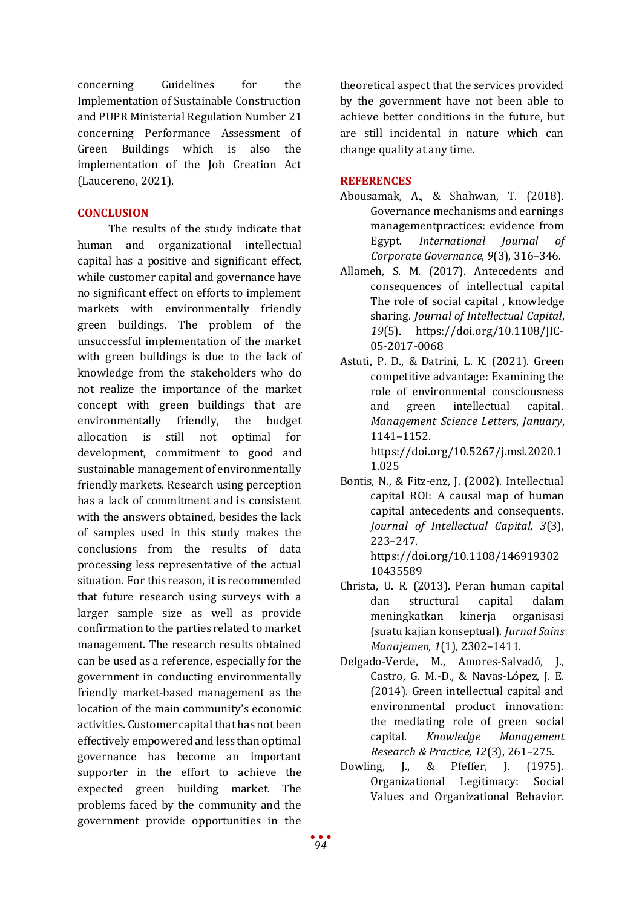concerning Guidelines for the Implementation of Sustainable Construction and PUPR Ministerial Regulation Number 21 concerning Performance Assessment of Green Buildings which is also the implementation of the Job Creation Act (Laucereno, 2021).

#### **CONCLUSION**

The results of the study indicate that human and organizational intellectual capital has a positive and significant effect, while customer capital and governance have no significant effect on efforts to implement markets with environmentally friendly green buildings. The problem of the unsuccessful implementation of the market with green buildings is due to the lack of knowledge from the stakeholders who do not realize the importance of the market concept with green buildings that are environmentally friendly, the budget allocation is still not optimal for development, commitment to good and sustainable management of environmentally friendly markets. Research using perception has a lack of commitment and is consistent with the answers obtained, besides the lack of samples used in this study makes the conclusions from the results of data processing less representative of the actual situation. For this reason, it is recommended that future research using surveys with a larger sample size as well as provide confirmation to the parties related to market management. The research results obtained can be used as a reference, especially for the government in conducting environmentally friendly market-based management as the location of the main community's economic activities. Customer capital that has not been effectively empowered and less than optimal governance has become an important supporter in the effort to achieve the expected green building market. The problems faced by the community and the government provide opportunities in the

theoretical aspect that the services provided by the government have not been able to achieve better conditions in the future, but are still incidental in nature which can change quality at any time.

#### **REFERENCES**

- Abousamak, A., & Shahwan, T. (2018). Governance mechanisms and earnings managementpractices: evidence from Egypt. *International Journal of Corporate Governance*, *9*(3), 316–346.
- Allameh, S. M. (2017). Antecedents and consequences of intellectual capital The role of social capital , knowledge sharing. *Journal of Intellectual Capital*, *19*(5). https://doi.org/10.1108/JIC-05-2017-0068
- Astuti, P. D., & Datrini, L. K. (2021). Green competitive advantage: Examining the role of environmental consciousness<br>and green intellectual capital. intellectual *Management Science Letters*, *January*, 1141–1152. https://doi.org/10.5267/j.msl.2020.1

1.025

Bontis, N., & Fitz-enz, J. (2002). Intellectual capital ROI: A causal map of human capital antecedents and consequents. *Journal of Intellectual Capital*, *3*(3), 223–247.

https://doi.org/10.1108/146919302 10435589

- Christa, U. R. (2013). Peran human capital structural meningkatkan kinerja organisasi (suatu kajian konseptual). *Jurnal Sains Manajemen*, *1*(1), 2302–1411.
- Delgado-Verde, M., Amores-Salvadó, J., Castro, G. M.-D., & Navas-López, J. E. (2014). Green intellectual capital and environmental product innovation: the mediating role of green social<br>capital. Knowledge Management capital. *Knowledge Management Research & Practice*, *12*(3), 261–275.
- Dowling, J., & Pfeffer, J. (1975). Organizational Legitimacy: Social Values and Organizational Behavior.

*94*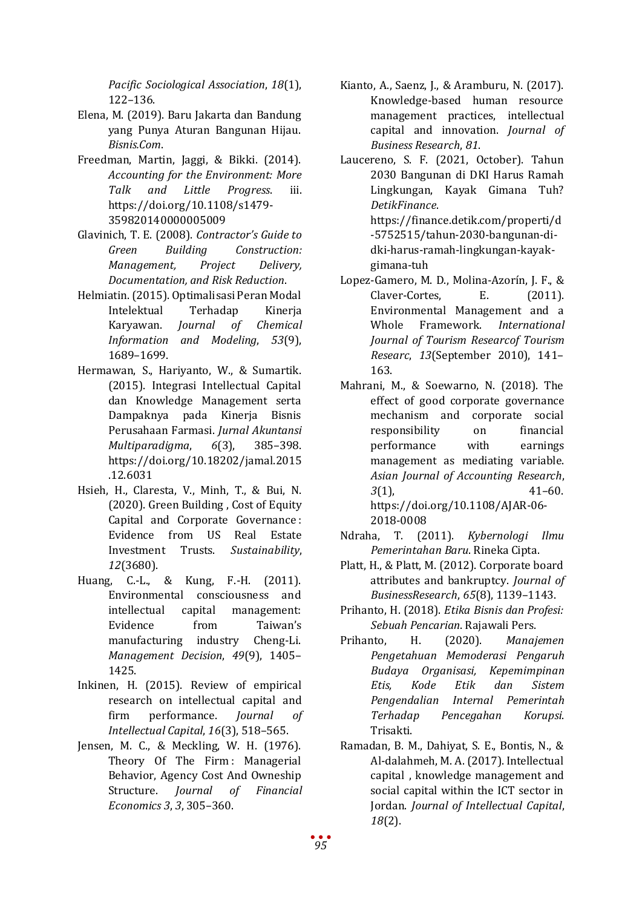*Pacific Sociological Association*, *18*(1), 122–136.

- Elena, M. (2019). Baru Jakarta dan Bandung yang Punya Aturan Bangunan Hijau. *Bisnis.Com*.
- Freedman, Martin, Jaggi, & Bikki. (2014). *Accounting for the Environment: More Talk and Little Progress*. iii. https://doi.org/10.1108/s1479- 359820140000005009
- Glavinich, T. E. (2008). *Contractor's Guide to Green Building Construction: Management, Project Delivery, Documentation, and Risk Reduction*.
- Helmiatin. (2015). Optimalisasi Peran Modal Intelektual Terhadap Kinerja<br>Karyawan. *Journal of Chemical* Karyawan. *Journal of Information and Modeling*, *53*(9), 1689–1699.
- Hermawan, S., Hariyanto, W., & Sumartik. (2015). Integrasi Intellectual Capital dan Knowledge Management serta Dampaknya pada Kinerja Bisnis Perusahaan Farmasi. *Jurnal Akuntansi Multiparadigma*, *6*(3), 385–398. https://doi.org/10.18202/jamal.2015 .12.6031
- Hsieh, H., Claresta, V., Minh, T., & Bui, N. (2020). Green Building , Cost of Equity Capital and Corporate Governance : Evidence from US Real Estate Investment Trusts. *Sustainability*, *12*(3680).
- Huang, C.-L., & Kung, F.-H. (2011). Environmental consciousness and intellectual capital management: Taiwan's manufacturing industry Cheng-Li. *Management Decision*, *49*(9), 1405– 1425.
- Inkinen, H. (2015). Review of empirical research on intellectual capital and<br>firm performance. Journal of firm performance. *Journal of Intellectual Capital*, *16*(3), 518–565.
- Jensen, M. C., & Meckling, W. H. (1976). Theory Of The Firm: Managerial Behavior, Agency Cost And Owneship<br>Structure. *Journal of Financial* Structure. *Journal of Financial Economics 3*, *3*, 305–360.
- Kianto, A., Saenz, J., & Aramburu, N. (2017). Knowledge-based human resource management practices, intellectual capital and innovation. *Journal of Business Research*, *81*.
- Laucereno, S. F. (2021, October). Tahun 2030 Bangunan di DKI Harus Ramah Lingkungan, Kayak Gimana Tuh? *DetikFinance*. https://finance.detik.com/properti/d -5752515/tahun-2030-bangunan-didki-harus-ramah-lingkungan-kayakgimana-tuh
- Lopez-Gamero, M. D., Molina-Azorín, J. F., &<br>Claver-Cortes. E. (2011). Claver-Cortes, E. (2011). Environmental Management and a<br>Whole Framework. International Framework. *International Journal of Tourism Researcof Tourism Researc*, *13*(September 2010), 141– 163.
- Mahrani, M., & Soewarno, N. (2018). The effect of good corporate governance mechanism and corporate social<br>responsibility on financial responsibility on performance with earnings management as mediating variable. *Asian Journal of Accounting Research*, *3*(1), 41–60. https://doi.org/10.1108/AJAR-06- 2018-0008
- Ndraha, T. (2011). *Kybernologi Ilmu Pemerintahan Baru*. Rineka Cipta.
- Platt, H., & Platt, M. (2012). Corporate board attributes and bankruptcy. *Journal of BusinessResearch*, *65*(8), 1139–1143.
- Prihanto, H. (2018). *Etika Bisnis dan Profesi: Sebuah Pencarian*. Rajawali Pers.
- Prihanto, H. (2020). *Manajemen Pengetahuan Memoderasi Pengaruh Budaya Organisasi, Kepemimpinan Etis, Kode Etik dan Sistem Pengendalian Internal Pemerintah Terhadap Pencegahan Korupsi*. Trisakti.
- Ramadan, B. M., Dahiyat, S. E., Bontis, N., & Al-dalahmeh, M. A. (2017). Intellectual capital , knowledge management and social capital within the ICT sector in Jordan. *Journal of Intellectual Capital*, *18*(2).